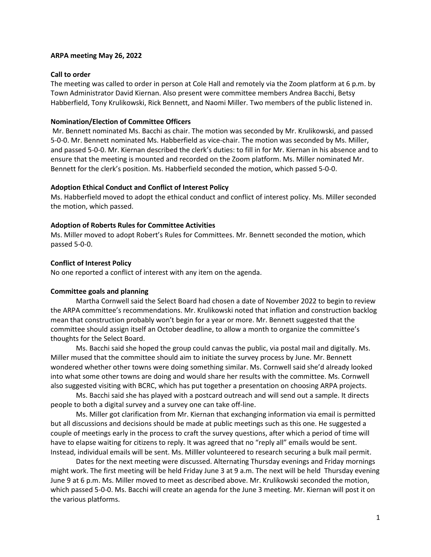### **ARPA meeting May 26, 2022**

### **Call to order**

The meeting was called to order in person at Cole Hall and remotely via the Zoom platform at 6 p.m. by Town Administrator David Kiernan. Also present were committee members Andrea Bacchi, Betsy Habberfield, Tony Krulikowski, Rick Bennett, and Naomi Miller. Two members of the public listened in.

### **Nomination/Election of Committee Officers**

Mr. Bennett nominated Ms. Bacchi as chair. The motion was seconded by Mr. Krulikowski, and passed 5-0-0. Mr. Bennett nominated Ms. Habberfield as vice-chair. The motion was seconded by Ms. Miller, and passed 5-0-0. Mr. Kiernan described the clerk's duties: to fill in for Mr. Kiernan in his absence and to ensure that the meeting is mounted and recorded on the Zoom platform. Ms. Miller nominated Mr. Bennett for the clerk's position. Ms. Habberfield seconded the motion, which passed 5-0-0.

### **Adoption Ethical Conduct and Conflict of Interest Policy**

Ms. Habberfield moved to adopt the ethical conduct and conflict of interest policy. Ms. Miller seconded the motion, which passed.

### **Adoption of Roberts Rules for Committee Activities**

Ms. Miller moved to adopt Robert's Rules for Committees. Mr. Bennett seconded the motion, which passed 5-0-0.

### **Conflict of Interest Policy**

No one reported a conflict of interest with any item on the agenda.

# **Committee goals and planning**

Martha Cornwell said the Select Board had chosen a date of November 2022 to begin to review the ARPA committee's recommendations. Mr. Krulikowski noted that inflation and construction backlog mean that construction probably won't begin for a year or more. Mr. Bennett suggested that the committee should assign itself an October deadline, to allow a month to organize the committee's thoughts for the Select Board.

Ms. Bacchi said she hoped the group could canvas the public, via postal mail and digitally. Ms. Miller mused that the committee should aim to initiate the survey process by June. Mr. Bennett wondered whether other towns were doing something similar. Ms. Cornwell said she'd already looked into what some other towns are doing and would share her results with the committee. Ms. Cornwell also suggested visiting with BCRC, which has put together a presentation on choosing ARPA projects.

Ms. Bacchi said she has played with a postcard outreach and will send out a sample. It directs people to both a digital survey and a survey one can take off-line.

Ms. Miller got clarification from Mr. Kiernan that exchanging information via email is permitted but all discussions and decisions should be made at public meetings such as this one. He suggested a couple of meetings early in the process to craft the survey questions, after which a period of time will have to elapse waiting for citizens to reply. It was agreed that no "reply all" emails would be sent. Instead, individual emails will be sent. Ms. Milller volunteered to research securing a bulk mail permit.

Dates for the next meeting were discussed. Alternating Thursday evenings and Friday mornings might work. The first meeting will be held Friday June 3 at 9 a.m. The next will be held Thursday evening June 9 at 6 p.m. Ms. Miller moved to meet as described above. Mr. Krulikowski seconded the motion, which passed 5-0-0. Ms. Bacchi will create an agenda for the June 3 meeting. Mr. Kiernan will post it on the various platforms.